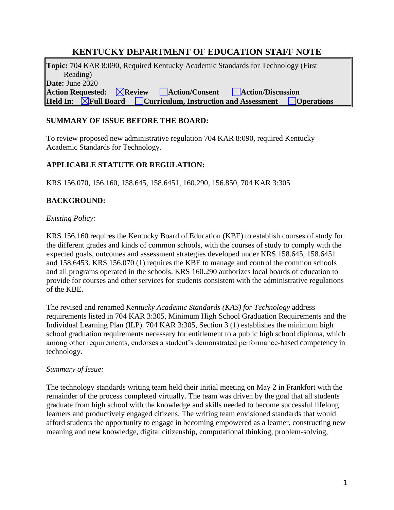# **KENTUCKY DEPARTMENT OF EDUCATION STAFF NOTE**

**Topic:** 704 KAR 8:090, Required Kentucky Academic Standards for Technology (First Reading) **Date:** June 2020 **Action Requested: Review Action/Consent Action/Discussion Held In:** *New* **The Board Curriculum, Instruction and Assessment Convertions** 

### **SUMMARY OF ISSUE BEFORE THE BOARD:**

To review proposed new administrative regulation 704 KAR 8:090, required Kentucky Academic Standards for Technology.

### **APPLICABLE STATUTE OR REGULATION:**

KRS 156.070, 156.160, 158.645, 158.6451, 160.290, 156.850, 704 KAR 3:305

### **BACKGROUND:**

#### *Existing Policy:*

KRS 156.160 requires the Kentucky Board of Education (KBE) to establish courses of study for the different grades and kinds of common schools, with the courses of study to comply with the expected goals, outcomes and assessment strategies developed under KRS 158.645, 158.6451 and 158.6453. KRS 156.070 (1) requires the KBE to manage and control the common schools and all programs operated in the schools. KRS 160.290 authorizes local boards of education to provide for courses and other services for students consistent with the administrative regulations of the KBE.

The revised and renamed *Kentucky Academic Standards (KAS) for Technology* address requirements listed in 704 KAR 3:305, Minimum High School Graduation Requirements and the Individual Learning Plan (ILP). 704 KAR 3:305, Section 3 (1) establishes the minimum high school graduation requirements necessary for entitlement to a public high school diploma, which among other requirements, endorses a student's demonstrated performance-based competency in technology.

#### *Summary of Issue:*

The technology standards writing team held their initial meeting on May 2 in Frankfort with the remainder of the process completed virtually. The team was driven by the goal that all students graduate from high school with the knowledge and skills needed to become successful lifelong learners and productively engaged citizens. The writing team envisioned standards that would afford students the opportunity to engage in becoming empowered as a learner, constructing new meaning and new knowledge, digital citizenship, computational thinking, problem-solving,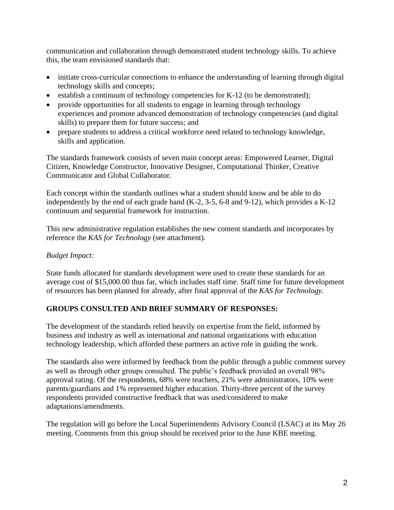communication and collaboration through demonstrated student technology skills. To achieve this, the team envisioned standards that:

- initiate cross-curricular connections to enhance the understanding of learning through digital technology skills and concepts;
- establish a continuum of technology competencies for K-12 (to be demonstrated);
- provide opportunities for all students to engage in learning through technology experiences and promote advanced demonstration of technology competencies (and digital skills) to prepare them for future success; and
- prepare students to address a critical workforce need related to technology knowledge, skills and application.

The standards framework consists of seven main concept areas: Empowered Learner, Digital Citizen, Knowledge Constructor, Innovative Designer, Computational Thinker, Creative Communicator and Global Collaborator.

Each concept within the standards outlines what a student should know and be able to do independently by the end of each grade band (K-2, 3-5, 6-8 and 9-12), which provides a K-12 continuum and sequential framework for instruction.

This new administrative regulation establishes the new content standards and incorporates by reference the *KAS for Technology* (see attachment).

## *Budget Impact:*

State funds allocated for standards development were used to create these standards for an average cost of \$15,000.00 thus far, which includes staff time. Staff time for future development of resources has been planned for already, after final approval of the *KAS for Technology*.

## **GROUPS CONSULTED AND BRIEF SUMMARY OF RESPONSES:**

The development of the standards relied heavily on expertise from the field, informed by business and industry as well as international and national organizations with education technology leadership, which afforded these partners an active role in guiding the work.

The standards also were informed by feedback from the public through a public comment survey as well as through other groups consulted. The public's feedback provided an overall 98% approval rating. Of the respondents, 68% were teachers, 21% were administrators, 10% were parents/guardians and 1% represented higher education. Thirty-three percent of the survey respondents provided constructive feedback that was used/considered to make adaptations/amendments.

The regulation will go before the Local Superintendents Advisory Council (LSAC) at its May 26 meeting. Comments from this group should be received prior to the June KBE meeting.